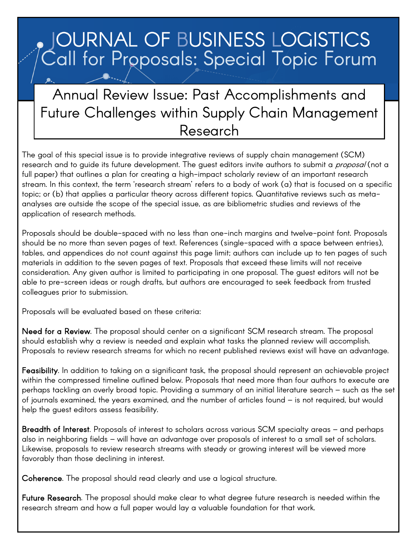## **OURNAL OF BUSINESS LOGISTICS** Call for Proposals: Special Topic Forum

## Annual Review Issue: Past Accomplishments and Future Challenges within Supply Chain Management Research

The goal of this special issue is to provide integrative reviews of supply chain management (SCM) research and to guide its future development. The guest editors invite authors to submit a *proposal* (not a full paper) that outlines a plan for creating a high-impact scholarly review of an important research stream. In this context, the term 'research stream' refers to a body of work (a) that is focused on a specific topic; or (b) that applies a particular theory across different topics. Quantitative reviews such as metaanalyses are outside the scope of the special issue, as are bibliometric studies and reviews of the application of research methods.

Proposals should be double-spaced with no less than one-inch margins and twelve-point font. Proposals should be no more than seven pages of text. References (single-spaced with a space between entries), tables, and appendices do not count against this page limit; authors can include up to ten pages of such materials in addition to the seven pages of text. Proposals that exceed these limits will not receive consideration. Any given author is limited to participating in one proposal. The guest editors will not be able to pre-screen ideas or rough drafts, but authors are encouraged to seek feedback from trusted colleagues prior to submission.

Proposals will be evaluated based on these criteria:

 $\overline{a}$ 

Need for a Review. The proposal should center on a significant SCM research stream. The proposal should establish why a review is needed and explain what tasks the planned review will accomplish. Proposals to review research streams for which no recent published reviews exist will have an advantage.

Feasibility. In addition to taking on a significant task, the proposal should represent an achievable project within the compressed timeline outlined below. Proposals that need more than four authors to execute are perhaps tackling an overly broad topic. Providing a summary of an initial literature search – such as the set of journals examined, the years examined, and the number of articles found – is not required, but would help the guest editors assess feasibility.

Breadth of Interest. Proposals of interest to scholars across various SCM specialty areas – and perhaps also in neighboring fields – will have an advantage over proposals of interest to a small set of scholars. Likewise, proposals to review research streams with steady or growing interest will be viewed more favorably than those declining in interest.

Coherence. The proposal should read clearly and use a logical structure.

Future Research. The proposal should make clear to what degree future research is needed within the research stream and how a full paper would lay a valuable foundation for that work.